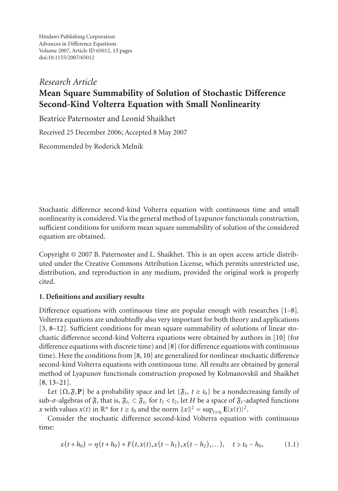Hindawi Publishing Corporation Advances in Difference Equations Volume 2007, Article ID 65012, [13](#page-11-0) pages doi:10.1155/2007/65012

# *Research Article* **Mean Square Summability of Solution of Stochastic Difference Second-Kind Volterra Equation with Small Nonlinearity**

Beatrice Paternoster and Leonid Shaikhet

Received 25 December 2006; Accepted 8 May 2007

Recommended by Roderick Melnik

Stochastic difference second-kind Volterra equation with continuous time and small nonlinearity is considered. Via the general method of Lyapunov functionals construction, sufficient conditions for uniform mean square summability of solution of the considered equation are obtained.

Copyright © 2007 B. Paternoster and L. Shaikhet. This is an open access article distributed under the Creative Commons Attribution License, which permits unrestricted use, distribution, and reproduction in any medium, provided the original work is properly cited.

# **1. Definitions and auxiliary results**

Difference equations with continuous time are popular enough with researches [\[1](#page-11-1)[–8\]](#page-11-2). Volterra equations are undoubtedly also very important for both theory and applications [\[3,](#page-11-3) [8](#page-11-2)[–12\]](#page-11-4). Sufficient conditions for mean square summability of solutions of linear stochastic difference second-kind Volterra equations were obtained by authors in [\[10\]](#page-11-5) (for difference equations with discrete time) and [\[8\]](#page-11-2) (for difference equations with continuous time). Here the conditions from [\[8,](#page-11-2) [10](#page-11-5)] are generalized for nonlinear stochastic difference second-kind Volterra equations with continuous time. All results are obtained by general method of Lyapunov functionals construction proposed by Kolmanovskiı̆ and Shaikhet [\[8,](#page-11-2) [13](#page-11-6)[–21](#page-12-0)].

Let  $\{\Omega, \mathfrak{F}, \mathbf{P}\}\$  be a probability space and let  $\{\mathfrak{F}_t, t \geq t_0\}$  be a nondecreasing family of sub-*σ*-algebras of  $\mathfrak{F}_t$ , that is,  $\mathfrak{F}_{t_1}$  ⊂  $\mathfrak{F}_{t_2}$  for  $t_1 < t_2$ , let *H* be a space of  $\mathfrak{F}_t$ -adapted functions *x* with values  $x(t)$  in  $\mathbb{R}^n$  for  $t \ge t_0$  and the norm  $||x||^2 = \sup_{t \ge t_0} E|x(t)|^2$ .

Consider the stochastic difference second-kind Volterra equation with continuous time:

<span id="page-0-0"></span>
$$
x(t+h_0) = \eta(t+h_0) + F(t, x(t), x(t-h_1), x(t-h_2), \dots), \quad t > t_0 - h_0,
$$
 (1.1)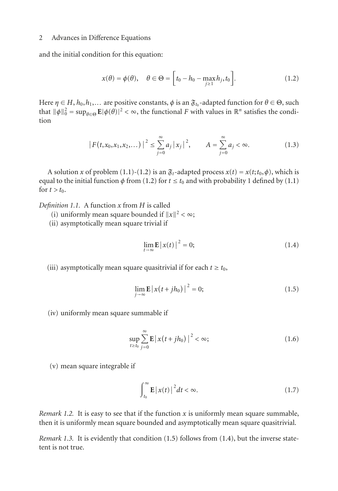and the initial condition for this equation:

<span id="page-1-3"></span><span id="page-1-0"></span>
$$
x(\theta) = \phi(\theta), \quad \theta \in \Theta = \left[t_0 - h_0 - \max_{j \ge 1} h_j, t_0\right].
$$
 (1.2)

Here  $\eta \in H$ ,  $h_0, h_1, \ldots$  are positive constants,  $\phi$  is an  $\mathfrak{F}_{t_0}$ -adapted function for  $\theta \in \Theta$ , such that  $\|\phi\|_0^2 = \sup_{\theta \in \Theta} E|\phi(\theta)|^2 < \infty$ , the functional *F* with values in  $\mathbb{R}^n$  satisfies the condition

$$
\left| F(t, x_0, x_1, x_2, \dots) \right|^2 \le \sum_{j=0}^{\infty} a_j |x_j|^2, \qquad A = \sum_{j=0}^{\infty} a_j < \infty.
$$
 (1.3)

A solution *x* of problem [\(1.1\)](#page-0-0)-[\(1.2\)](#page-1-0) is an  $\mathfrak{F}_t$ -adapted process  $x(t) = x(t; t_0, \phi)$ , which is equal to the initial function  $\phi$  from [\(1.2\)](#page-1-0) for  $t \le t_0$  and with probability 1 defined by [\(1.1\)](#page-0-0) for  $t > t_0$ .

*Definition 1.1.* A function *x* from *H* is called

- (i) uniformly mean square bounded if  $||x||^2 < \infty$ ;
- (ii) asymptotically mean square trivial if

<span id="page-1-2"></span><span id="page-1-1"></span>
$$
\lim_{t \to \infty} \mathbf{E} |x(t)|^2 = 0; \tag{1.4}
$$

(iii) asymptotically mean square quasitrivial if for each  $t \geq t_0$ ,

$$
\lim_{j \to \infty} \mathbf{E} \left| x(t + jh_0) \right|^2 = 0; \tag{1.5}
$$

(iv) uniformly mean square summable if

$$
\sup_{t \ge t_0} \sum_{j=0}^{\infty} \mathbf{E} \left| x(t + jh_0) \right|^2 < \infty; \tag{1.6}
$$

(v) mean square integrable if

$$
\int_{t_0}^{\infty} \mathbf{E} \left| x(t) \right|^2 dt < \infty. \tag{1.7}
$$

*Remark 1.2.* It is easy to see that if the function *x* is uniformly mean square summable, then it is uniformly mean square bounded and asymptotically mean square quasitrivial.

*Remark 1.3.* It is evidently that condition [\(1.5\)](#page-1-1) follows from [\(1.4\)](#page-1-2), but the inverse statetent is not true.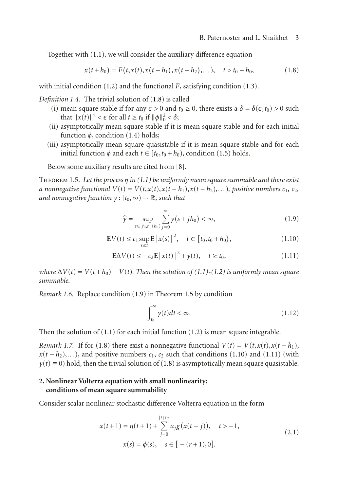Together with [\(1.1\)](#page-0-0), we will consider the auxiliary difference equation

<span id="page-2-0"></span>
$$
x(t+h_0) = F(t, x(t), x(t-h_1), x(t-h_2), \ldots), \quad t > t_0 - h_0,
$$
\n(1.8)

with initial condition [\(1.2\)](#page-1-0) and the functional *F*, satisfying condition [\(1.3\)](#page-1-3).

*Definition 1.4.* The trivial solution of [\(1.8\)](#page-2-0) is called

- (i) mean square stable if for any  $\epsilon > 0$  and  $t_0 \ge 0$ , there exists a  $\delta = \delta(\epsilon, t_0) > 0$  such that  $||x(t)||^2 < \epsilon$  for all  $t \ge t_0$  if  $||\phi||_0^2 < \delta$ ;
- (ii) asymptotically mean square stable if it is mean square stable and for each initial function  $\phi$ , condition [\(1.4\)](#page-1-2) holds;
- (iii) asymptotically mean square quasistable if it is mean square stable and for each initial function  $\phi$  and each  $t \in [t_0, t_0 + h_0)$ , condition [\(1.5\)](#page-1-1) holds.

Below some auxiliary results are cited from [\[8](#page-11-2)].

<span id="page-2-2"></span>Theorem 1.5. *Let the process η in [\(1.1\)](#page-0-0) be uniformly mean square summable and there exist a* nonnegative functional  $V(t) = V(t, x(t), x(t - h_1), x(t - h_2), \ldots)$ , positive numbers  $c_1, c_2$ , *and nonnegative function*  $\gamma$  :  $[t_0, \infty) \rightarrow \mathbb{R}$ *, such that* 

<span id="page-2-3"></span><span id="page-2-1"></span>
$$
\hat{\gamma} = \sup_{s \in [t_0, t_0 + h_0)} \sum_{j=0}^{\infty} \gamma(s + j h_0) < \infty,\tag{1.9}
$$

$$
\mathbf{E}V(t) \le c_1 \sup_{s \le t} \mathbf{E} |x(s)|^2, \quad t \in [t_0, t_0 + h_0), \tag{1.10}
$$

$$
\mathbf{E}\Delta V(t) \le -c_2 \mathbf{E} |x(t)|^2 + \gamma(t), \quad t \ge t_0,
$$
\n(1.11)

*where*  $\Delta V(t) = V(t + h_0) - V(t)$ *. Then the solution of* [\(1.1\)](#page-0-0) $\text{-}(1.2)$  $\text{-}(1.2)$  *is uniformly mean square summable.*

*Remark 1.6.* Replace condition [\(1.9\)](#page-2-1) in [Theorem 1.5](#page-2-2) by condition

<span id="page-2-6"></span><span id="page-2-4"></span>
$$
\int_{t_0}^{\infty} \gamma(t)dt < \infty. \tag{1.12}
$$

Then the solution of  $(1.1)$  for each initial function  $(1.2)$  is mean square integrable.

<span id="page-2-7"></span>*Remark 1.7.* If for [\(1.8\)](#page-2-0) there exist a nonnegative functional  $V(t) = V(t, x(t), x(t - h_1))$ ,  $x(t-h_2),...$ ), and positive numbers  $c_1, c_2$  such that conditions [\(1.10\)](#page-2-3) and [\(1.11\)](#page-2-4) (with  $\gamma(t) \equiv 0$ ) hold, then the trivial solution of [\(1.8\)](#page-2-0) is asymptotically mean square quasistable.

# **2. Nonlinear Volterra equation with small nonlinearity: conditions of mean square summability**

Consider scalar nonlinear stochastic difference Volterra equation in the form

<span id="page-2-5"></span>
$$
x(t+1) = \eta(t+1) + \sum_{j=0}^{\lceil t \rceil + r} a_j g(x(t-j)), \quad t > -1,
$$
  

$$
x(s) = \phi(s), \quad s \in [-(r+1), 0].
$$
 (2.1)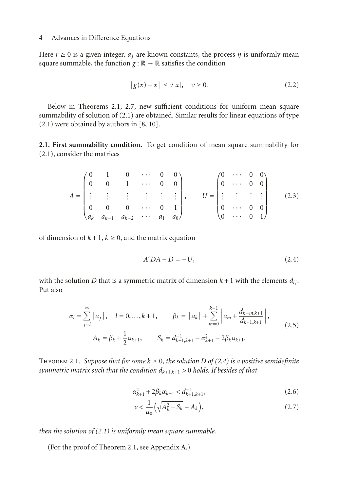Here  $r \ge 0$  is a given integer,  $a_i$  are known constants, the process  $\eta$  is uniformly mean square summable, the function  $g : \mathbb{R} \to \mathbb{R}$  satisfies the condition

<span id="page-3-3"></span>
$$
|g(x) - x| \le \nu |x|, \quad \nu \ge 0. \tag{2.2}
$$

Below in Theorems [2.1,](#page-3-0) [2.7,](#page-4-0) new sufficient conditions for uniform mean square summability of solution of [\(2.1\)](#page-2-5) are obtained. Similar results for linear equations of type [\(2.1\)](#page-2-5) were obtained by authors in [\[8,](#page-11-2) [10\]](#page-11-5).

**2.1. First summability condition.** To get condition of mean square summability for [\(2.1\)](#page-2-5), consider the matrices

$$
A = \begin{pmatrix} 0 & 1 & 0 & \cdots & 0 & 0 \\ 0 & 0 & 1 & \cdots & 0 & 0 \\ \vdots & \vdots & \vdots & \vdots & \vdots & \vdots \\ 0 & 0 & 0 & \cdots & 0 & 1 \\ a_k & a_{k-1} & a_{k-2} & \cdots & a_1 & a_0 \end{pmatrix}, \qquad U = \begin{pmatrix} 0 & \cdots & 0 & 0 \\ 0 & \cdots & 0 & 0 \\ \vdots & \vdots & \vdots & \vdots \\ 0 & \cdots & 0 & 0 \\ 0 & \cdots & 0 & 1 \end{pmatrix}
$$
 (2.3)

of dimension of  $k + 1$ ,  $k \ge 0$ , and the matrix equation

<span id="page-3-6"></span><span id="page-3-5"></span><span id="page-3-1"></span>
$$
A'DA - D = -U,
$$
\n<sup>(2.4)</sup>

with the solution *D* that is a symmetric matrix of dimension  $k + 1$  with the elements  $d_{ij}$ . Put also

$$
\alpha_{l} = \sum_{j=l}^{\infty} |a_{j}|, \quad l = 0,...,k+1, \qquad \beta_{k} = |a_{k}| + \sum_{m=0}^{k-1} |a_{m} + \frac{d_{k-m,k+1}}{d_{k+1,k+1}}|,
$$
  

$$
A_{k} = \beta_{k} + \frac{1}{2}\alpha_{k+1}, \qquad S_{k} = d_{k+1,k+1}^{-1} - \alpha_{k+1}^{2} - 2\beta_{k}\alpha_{k+1}.
$$
 (2.5)

<span id="page-3-0"></span>THEOREM 2.1. Suppose that for some  $k \geq 0$ , the solution D of [\(2.4\)](#page-3-1) is a positive semidefinite *symmetric matrix such that the condition dk*+1,*k*+1 *>* 0 *holds. If besides of that*

$$
\alpha_{k+1}^2 + 2\beta_k \alpha_{k+1} < d_{k+1,k+1}^{-1},\tag{2.6}
$$

<span id="page-3-4"></span><span id="page-3-2"></span>
$$
\nu < \frac{1}{\alpha_0} \left( \sqrt{A_k^2 + S_k} - A_k \right),\tag{2.7}
$$

*then the solution of [\(2.1\)](#page-2-5) is uniformly mean square summable.*

(For the proof of [Theorem 2.1,](#page-3-0) see [Appendix A.](#page-7-0))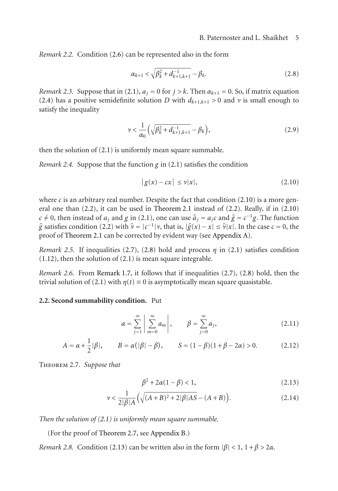*Remark 2.2.* Condition [\(2.6\)](#page-3-2) can be represented also in the form

<span id="page-4-2"></span>
$$
\alpha_{k+1} < \sqrt{\beta_k^2 + d_{k+1,k+1}^{-1}} - \beta_k. \tag{2.8}
$$

<span id="page-4-9"></span>*Remark 2.3.* Suppose that in [\(2.1\)](#page-2-5),  $a_j = 0$  for  $j > k$ . Then  $\alpha_{k+1} = 0$ . So, if matrix equation [\(2.4\)](#page-3-1) has a positive semidefinite solution *D* with  $d_{k+1,k+1} > 0$  and  $\nu$  is small enough to satisfy the inequality

<span id="page-4-8"></span>
$$
\nu < \frac{1}{\alpha_0} \left( \sqrt{\beta_k^2 + d_{k+1,k+1}^{-1}} - \beta_k \right),\tag{2.9}
$$

<span id="page-4-4"></span>then the solution of [\(2.1\)](#page-2-5) is uniformly mean square summable.

*Remark 2.4.* Suppose that the function *g* in [\(2.1\)](#page-2-5) satisfies the condition

<span id="page-4-1"></span>
$$
|g(x) - cx| \le \nu |x|,\tag{2.10}
$$

where  $c$  is an arbitrary real number. Despite the fact that condition  $(2.10)$  is a more general one than [\(2.2\)](#page-3-3), it can be used in [Theorem 2.1](#page-3-0) instead of [\(2.2\)](#page-3-3). Really, if in [\(2.10\)](#page-4-1) *c* ≠ 0, then instead of *a<sub>j</sub>* and *g* in [\(2.1\)](#page-2-5), one can use  $\hat{a}_j = a_j c$  and  $\hat{g} = c^{-1} g$ . The function  $\hat{g}$  satisfies condition [\(2.2\)](#page-3-3) with  $\hat{v} = |c^{-1}|v$ , that is,  $|\hat{g}(x) - x| \le \hat{v}|x|$ . In the case  $c = 0$ , the proof of [Theorem 2.1](#page-3-0) can be corrected by evident way (see [Appendix A\)](#page-7-0).

*Remark 2.5.* If inequalities [\(2.7\)](#page-3-4), [\(2.8\)](#page-4-2) hold and process  $\eta$  in [\(2.1\)](#page-2-5) satisfies condition [\(1.12\)](#page-2-6), then the solution of [\(2.1\)](#page-2-5) is mean square integrable.

*Remark 2.6.* From [Remark 1.7,](#page-2-7) it follows that if inequalities [\(2.7\)](#page-3-4), [\(2.8\)](#page-4-2) hold, then the trivial solution of [\(2.1\)](#page-2-5) with  $\eta(t) \equiv 0$  is asymptotically mean square quasistable.

# **2.2. Second summability condition.** Put

<span id="page-4-5"></span>
$$
\alpha = \sum_{j=1}^{\infty} \left| \sum_{m=0}^{\infty} a_m \right|, \qquad \beta = \sum_{j=0}^{\infty} a_j,
$$
 (2.11)

$$
A = \alpha + \frac{1}{2} |\beta|, \qquad B = \alpha (|\beta| - \beta), \qquad S = (1 - \beta)(1 + \beta - 2\alpha) > 0.
$$
 (2.12)

<span id="page-4-0"></span>Theorem 2.7. *Suppose that*

<span id="page-4-7"></span><span id="page-4-6"></span><span id="page-4-3"></span>
$$
\beta^2 + 2\alpha(1 - \beta) < 1,\tag{2.13}
$$

$$
\nu < \frac{1}{2|\beta|A} \left( \sqrt{(A+B)^2 + 2|\beta|AS} - (A+B) \right). \tag{2.14}
$$

*Then the solution of [\(2.1\)](#page-2-5) is uniformly mean square summable.*

(For the proof of [Theorem 2.7,](#page-4-0) see [Appendix B.](#page-9-0))

*Remark 2.8.* Condition [\(2.13\)](#page-4-3) can be written also in the form  $|\beta| < 1$ ,  $1 + \beta > 2\alpha$ .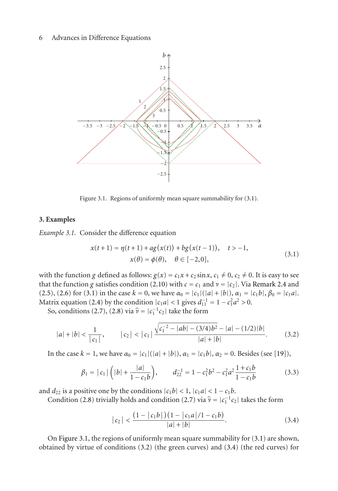

<span id="page-5-1"></span>Figure 3.1. Regions of uniformly mean square summability for [\(3.1\)](#page-5-0).

#### **3. Examples**

*Example 3.1.* Consider the difference equation

<span id="page-5-0"></span>
$$
x(t+1) = \eta(t+1) + ag(x(t)) + bg(x(t-1)), \quad t > -1,
$$
  
\n
$$
x(\theta) = \phi(\theta), \quad \theta \in [-2, 0],
$$
\n(3.1)

with the function *g* defined as follows:  $g(x) = c_1x + c_2 \sin x$ ,  $c_1 \neq 0$ ,  $c_2 \neq 0$ . It is easy to see that the function *g* satisfies condition [\(2.10\)](#page-4-1) with  $c = c_1$  and  $\nu = |c_2|$ . Via [Remark 2.4](#page-4-4) and [\(2.5\)](#page-3-5), [\(2.6\)](#page-3-2) for [\(3.1\)](#page-5-0) in the case  $k = 0$ , we have  $\alpha_0 = |c_1|(|a| + |b|)$ ,  $\alpha_1 = |c_1b|$ ,  $\beta_0 = |c_1a|$ . Matrix equation [\(2.4\)](#page-3-1) by the condition  $|c_1a| < 1$  gives  $d_{11}^{-1} = 1 - c_1^2 a^2 > 0$ .

So, conditions [\(2.7\)](#page-3-4), [\(2.8\)](#page-4-2) via  $\hat{\nu} = |c_1^{-1}c_2|$  take the form

$$
|a|+|b| < \frac{1}{|c_1|}, \qquad |c_2| < |c_1| \frac{\sqrt{c_1^{-2} - |ab| - (3/4)b^2} - |a| - (1/2)|b|}{|a| + |b|}. \tag{3.2}
$$

In the case  $k = 1$ , we have  $α_0 = |c_1|(|a| + |b|)$ ,  $α_1 = |c_1b|$ ,  $α_2 = 0$ . Besides (see [\[19\]](#page-12-1)),

$$
\beta_1 = |c_1| \left( |b| + \frac{|a|}{1 - c_1 b} \right), \qquad d_{22}^{-1} = 1 - c_1^2 b^2 - c_1^2 a^2 \frac{1 + c_1 b}{1 - c_1 b} \tag{3.3}
$$

and  $d_{22}$  is a positive one by the conditions  $|c_1b| < 1$ ,  $|c_1a| < 1 - c_1b$ .

Condition [\(2.8\)](#page-4-2) trivially holds and condition [\(2.7\)](#page-3-4) via  $\hat{\mathbf{v}} = |c_1^{-1} c_2|$  takes the form

<span id="page-5-3"></span><span id="page-5-2"></span>
$$
|c_2| < \frac{\left(1 - |c_1 b|\right)\left(1 - |c_1 a|/1 - c_1 b\right)}{|a| + |b|}.\tag{3.4}
$$

On [Figure 3.1,](#page-5-1) the regions of uniformly mean square summability for [\(3.1\)](#page-5-0) are shown, obtained by virtue of conditions [\(3.2\)](#page-5-2) (the green curves) and [\(3.4\)](#page-5-3) (the red curves) for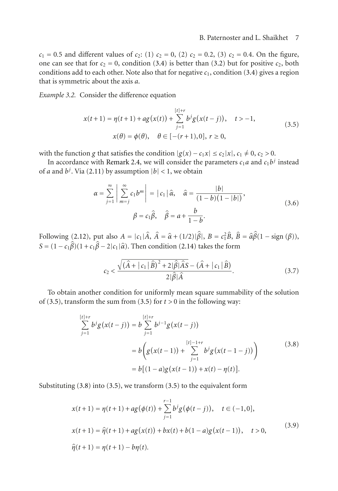$c_1 = 0.5$  and different values of  $c_2$ : (1)  $c_2 = 0$ , (2)  $c_2 = 0.2$ , (3)  $c_2 = 0.4$ . On the figure, one can see that for  $c_2 = 0$ , condition [\(3.4\)](#page-5-3) is better than [\(3.2\)](#page-5-2) but for positive  $c_2$ , both conditions add to each other. Note also that for negative  $c_1$ , condition [\(3.4\)](#page-5-3) gives a region that is symmetric about the axis *a*.

*Example 3.2.* Consider the difference equation

<span id="page-6-0"></span>
$$
x(t+1) = \eta(t+1) + ag(x(t)) + \sum_{j=1}^{[t]+r} b^j g(x(t-j)), \quad t > -1,
$$
  
\n
$$
x(\theta) = \phi(\theta), \quad \theta \in [-(r+1), 0], \quad t \ge 0,
$$
\n(3.5)

with the function *g* that satisfies the condition  $|g(x) - c_1x| \le c_2|x|, c_1 \ne 0, c_2 > 0$ .

In accordance with [Remark 2.4,](#page-4-4) we will consider the parameters  $c_1a$  and  $c_1b^j$  instead of *a* and  $b^j$ . Via [\(2.11\)](#page-4-5) by assumption  $|b|$  < 1, we obtain

$$
\alpha = \sum_{j=1}^{\infty} \left| \sum_{m=j}^{\infty} c_1 b^m \right| = |c_1| \hat{\alpha}, \quad \hat{\alpha} = \frac{|b|}{(1-b)(1-|b|)},
$$
  

$$
\beta = c_1 \hat{\beta}, \quad \hat{\beta} = a + \frac{b}{1-b}.
$$
 (3.6)

Following [\(2.12\)](#page-4-6), put also  $A = |c_1|\hat{A}$ ,  $\hat{A} = \hat{\alpha} + (1/2)|\hat{\beta}|$ ,  $B = c_1^2\hat{B}$ ,  $\hat{B} = \hat{\alpha}\hat{\beta}(1 - \text{sign}(\beta))$ ,  $S = (1 - c_1 \beta)(1 + c_1 \beta - 2|c_1|\hat{\alpha})$ . Then condition [\(2.14\)](#page-4-7) takes the form

<span id="page-6-2"></span><span id="page-6-1"></span>
$$
c_2 < \frac{\sqrt{(\hat{A} + |c_1|\hat{B})^2 + 2|\hat{\beta}|\hat{A}S} - (\hat{A} + |c_1|\hat{B})}{2|\hat{\beta}|\hat{A}}.\tag{3.7}
$$

To obtain another condition for uniformly mean square summability of the solution of [\(3.5\)](#page-6-0), transform the sum from (3.5) for  $t > 0$  in the following way:

$$
\sum_{j=1}^{[t]+r} b^j g(x(t-j)) = b \sum_{j=1}^{[t]+r} b^{j-1} g(x(t-j))
$$
  
=  $b \left( g(x(t-1)) + \sum_{j=1}^{[t]-1+r} b^j g(x(t-1-j)) \right)$  (3.8)  
=  $b [(1-a)g(x(t-1)) + x(t) - \eta(t)].$ 

Substituting [\(3.8\)](#page-6-1) into [\(3.5\)](#page-6-0), we transform [\(3.5\)](#page-6-0) to the equivalent form

<span id="page-6-3"></span>
$$
x(t+1) = \eta(t+1) + ag(\phi(t)) + \sum_{j=1}^{r-1} b^j g(\phi(t-j)), \quad t \in (-1,0],
$$
  
\n
$$
x(t+1) = \hat{\eta}(t+1) + ag(x(t)) + bx(t) + b(1-a)g(x(t-1)), \quad t > 0,
$$
  
\n
$$
\hat{\eta}(t+1) = \eta(t+1) - b\eta(t).
$$
\n(3.9)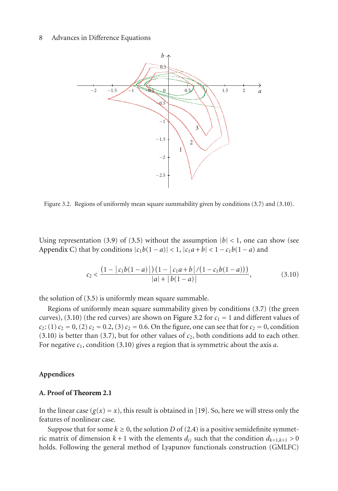

<span id="page-7-2"></span>Figure 3.2. Regions of uniformly mean square summability given by conditions [\(3.7\)](#page-6-2) and [\(3.10\)](#page-7-1).

Using representation [\(3.9\)](#page-6-3) of [\(3.5\)](#page-6-0) without the assumption  $|b| < 1$ , one can show (see [Appendix C\)](#page-10-0) that by conditions  $|c_1b(1-a)| < 1$ ,  $|c_1a+b| < 1 - c_1b(1-a)$  and

<span id="page-7-1"></span>
$$
c_2 < \frac{\left(1 - |c_1b(1-a)|\right)\left(1 - |c_1a+b|/(1-c_1b(1-a))\right)}{|a| + |b(1-a)|},\tag{3.10}
$$

the solution of [\(3.5\)](#page-6-0) is uniformly mean square summable.

Regions of uniformly mean square summability given by conditions [\(3.7\)](#page-6-2) (the green curves), [\(3.10\)](#page-7-1) (the red curves) are shown on [Figure 3.2](#page-7-2) for  $c_1 = 1$  and different values of  $c_2$ : (1)  $c_2$  = 0, (2)  $c_2$  = 0.2, (3)  $c_2$  = 0.6. On the figure, one can see that for  $c_2$  = 0, condition  $(3.10)$  is better than  $(3.7)$ , but for other values of  $c_2$ , both conditions add to each other. For negative *c*1, condition [\(3.10\)](#page-7-1) gives a region that is symmetric about the axis *a*.

# **Appendices**

# <span id="page-7-0"></span>**A. Proof of [Theorem 2.1](#page-3-0)**

In the linear case  $(g(x) = x)$ , this result is obtained in [\[19\]](#page-12-1). So, here we will stress only the features of nonlinear case.

Suppose that for some  $k \geq 0$ , the solution *D* of [\(2.4\)](#page-3-1) is a positive semidefinite symmetric matrix of dimension  $k + 1$  with the elements  $d_{ij}$  such that the condition  $d_{k+1,k+1} > 0$ holds. Following the general method of Lyapunov functionals construction (GMLFC)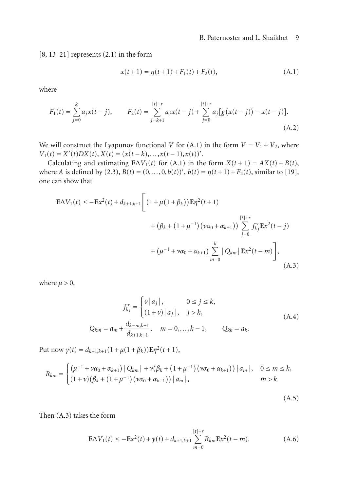$[8, 13-21]$  $[8, 13-21]$  $[8, 13-21]$  $[8, 13-21]$  represents  $(2.1)$  in the form

<span id="page-8-0"></span>
$$
x(t+1) = \eta(t+1) + F_1(t) + F_2(t),
$$
\n(A.1)

where

$$
F_1(t) = \sum_{j=0}^k a_j x(t-j), \qquad F_2(t) = \sum_{j=k+1}^{\lfloor t\rfloor + r} a_j x(t-j) + \sum_{j=0}^{\lfloor t\rfloor + r} a_j \big[ g\big( x(t-j) \big) - x(t-j) \big]. \tag{A.2}
$$

We will construct the Lyapunov functional *V* for [\(A.1\)](#page-8-0) in the form  $V = V_1 + V_2$ , where  $V_1(t) = X'(t)DX(t), X(t) = (x(t-k),...,x(t-1),x(t))'.$ 

Calculating and estimating  $E\Delta V_1(t)$  for [\(A.1\)](#page-8-0) in the form  $X(t+1) = AX(t) + B(t)$ , where *A* is defined by [\(2.3\)](#page-3-6),  $B(t) = (0, ..., 0, b(t))'$ ,  $b(t) = \eta(t+1) + F_2(t)$ , similar to [\[19\]](#page-12-1), one can show that

$$
\mathbf{E}\Delta V_{1}(t) \leq -\mathbf{E}x^{2}(t) + d_{k+1,k+1} \Bigg[ \left(1 + \mu(1+\beta_{k})\right) \mathbf{E}\eta^{2}(t+1) + \left(\beta_{k} + (1+\mu^{-1})(\nu\alpha_{0} + \alpha_{k+1})\right) \sum_{j=0}^{\lceil t \rceil + r} f_{kj}^{v} \mathbf{E}x^{2}(t-j) + \left(\mu^{-1} + \nu\alpha_{0} + \alpha_{k+1}\right) \sum_{m=0}^{k} |Q_{km}| \mathbf{E}x^{2}(t-m) \Bigg], \tag{A.3}
$$

where  $\mu > 0$ ,

<span id="page-8-1"></span>
$$
f_{kj}^{\nu} = \begin{cases} \nu |a_j|, & 0 \le j \le k, \\ (1+\nu) |a_j|, & j > k, \end{cases}
$$
  
\n
$$
Q_{km} = a_m + \frac{d_{k-m,k+1}}{d_{k+1,k+1}}, \quad m = 0, \dots, k-1, \qquad Q_{kk} = a_k.
$$
\n(A.4)

Put now  $\gamma(t) = d_{k+1,k+1}(1 + \mu(1 + \beta_k))\mathbf{E}\eta^2(t+1),$ 

$$
R_{km} = \begin{cases} (\mu^{-1} + \nu \alpha_0 + \alpha_{k+1}) | Q_{km} | + \nu (\beta_k + (1 + \mu^{-1}) (\nu \alpha_0 + \alpha_{k+1})) | a_m |, & 0 \le m \le k, \\ (1 + \nu) (\beta_k + (1 + \mu^{-1}) (\nu \alpha_0 + \alpha_{k+1})) | a_m |, & m > k. \end{cases}
$$

<span id="page-8-2"></span>(A.5)

Then [\(A.3\)](#page-8-1) takes the form

$$
\mathbf{E}\Delta V_1(t) \le -\mathbf{E}x^2(t) + \gamma(t) + d_{k+1,k+1} \sum_{m=0}^{[t]+r} R_{km} \mathbf{E}x^2(t-m).
$$
 (A.6)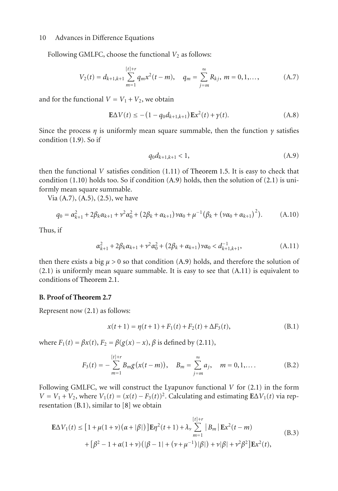Following GMLFC, choose the functional  $V_2$  as follows:

$$
V_2(t) = d_{k+1,k+1} \sum_{m=1}^{\lfloor t \rfloor + r} q_m x^2(t-m), \quad q_m = \sum_{j=m}^{\infty} R_{kj}, \ m = 0, 1, \dots,
$$
 (A.7)

and for the functional  $V = V_1 + V_2$ , we obtain

$$
\mathbf{E}\Delta V(t) \le -(1 - q_0 d_{k+1,k+1}) \mathbf{E} x^2(t) + \gamma(t). \tag{A.8}
$$

Since the process  $\eta$  is uniformly mean square summable, then the function  $\gamma$  satisfies condition [\(1.9\)](#page-2-1). So if

<span id="page-9-3"></span><span id="page-9-2"></span><span id="page-9-1"></span>
$$
q_0 d_{k+1,k+1} < 1,\tag{A.9}
$$

then the functional *V* satisfies condition [\(1.11\)](#page-2-4) of [Theorem 1.5.](#page-2-2) It is easy to check that condition  $(1.10)$  holds too. So if condition  $(A.9)$  holds, then the solution of  $(2.1)$  is uniformly mean square summable.

Via [\(A.7\)](#page-9-2), [\(A.5\)](#page-8-2), [\(2.5\)](#page-3-5), we have

$$
q_0 = \alpha_{k+1}^2 + 2\beta_k \alpha_{k+1} + \nu^2 \alpha_0^2 + (2\beta_k + \alpha_{k+1}) \nu \alpha_0 + \mu^{-1} (\beta_k + (\nu \alpha_0 + \alpha_{k+1})^2).
$$
 (A.10)

Thus, if

$$
\alpha_{k+1}^2 + 2\beta_k \alpha_{k+1} + \nu^2 \alpha_0^2 + (2\beta_k + \alpha_{k+1}) \nu \alpha_0 < d_{k+1,k+1}^{-1},\tag{A.11}
$$

then there exists a big  $\mu > 0$  so that condition [\(A.9\)](#page-9-1) holds, and therefore the solution of [\(2.1\)](#page-2-5) is uniformly mean square summable. It is easy to see that [\(A.11\)](#page-9-3) is equivalent to conditions of [Theorem 2.1.](#page-3-0)

#### <span id="page-9-0"></span>**B. Proof of [Theorem 2.7](#page-4-0)**

Represent now [\(2.1\)](#page-2-5) as follows:

<span id="page-9-4"></span>
$$
x(t+1) = \eta(t+1) + F_1(t) + F_2(t) + \Delta F_3(t),
$$
\n(B.1)

where *F*<sub>1</sub>(*t*) = *βx*(*t*), *F*<sub>2</sub> = *β*(*g*(*x*) − *x*), *β* is defined by [\(2.11\)](#page-4-5),

$$
F_3(t) = -\sum_{m=1}^{[t]+r} B_m g(x(t-m)), \quad B_m = \sum_{j=m}^{\infty} a_j, \quad m = 0, 1, \dots
$$
 (B.2)

Following GMLFC, we will construct the Lyapunov functional *V* for [\(2.1\)](#page-2-5) in the form  $V = V_1 + V_2$ , where  $V_1(t) = (x(t) - F_3(t))^2$ . Calculating and estimating  $E\Delta V_1(t)$  via representation [\(B.1\)](#page-9-4), similar to [\[8\]](#page-11-2) we obtain

$$
\mathbf{E}\Delta V_{1}(t) \leq [1 + \mu(1+\nu)(\alpha+|\beta|)]\mathbf{E}\eta^{2}(t+1) + \lambda_{\nu} \sum_{m=1}^{[t]+r} |B_{m}| \mathbf{E}x^{2}(t-m)
$$
  
+  $[\beta^{2} - 1 + \alpha(1+\nu)(|\beta - 1| + (\nu + \mu^{-1})|\beta|) + \nu|\beta| + \nu^{2}\beta^{2}]\mathbf{E}x^{2}(t),$  (B.3)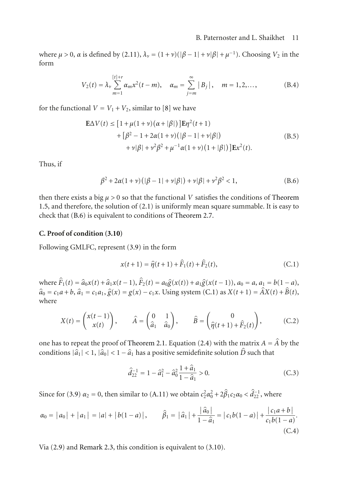where  $\mu > 0$ ,  $\alpha$  is defined by [\(2.11\)](#page-4-5),  $\lambda_{\nu} = (1 + \nu)(|\beta - 1| + \nu|\beta| + \mu^{-1})$ . Choosing  $V_2$  in the form

$$
V_2(t) = \lambda_v \sum_{m=1}^{[t]+r} \alpha_m x^2 (t-m), \quad \alpha_m = \sum_{j=m}^{\infty} |B_j|, \quad m = 1, 2, \dots,
$$
 (B.4)

for the functional  $V = V_1 + V_2$ , similar to [\[8](#page-11-2)] we have

$$
\mathbf{E}\Delta V(t) \leq [1 + \mu(1 + \nu)(\alpha + |\beta|)]\mathbf{E}\eta^{2}(t+1) \n+ [\beta^{2} - 1 + 2\alpha(1 + \nu)(|\beta - 1| + \nu|\beta|) \n+ \nu|\beta| + \nu^{2}\beta^{2} + \mu^{-1}\alpha(1 + \nu)(1 + |\beta|)]\mathbf{E}x^{2}(t).
$$
\n(B.5)

Thus, if

$$
\beta^2 + 2\alpha(1+\nu)(|\beta - 1| + \nu|\beta|) + \nu|\beta| + \nu^2\beta^2 < 1,\tag{B.6}
$$

then there exists a big  $\mu > 0$  so that the functional *V* satisfies the conditions of [Theorem](#page-2-2) [1.5,](#page-2-2) and therefore, the solution of [\(2.1\)](#page-2-5) is uniformly mean square summable. It is easy to check that [\(B.6\)](#page-10-1) is equivalent to conditions of [Theorem 2.7.](#page-4-0)

#### <span id="page-10-0"></span>**C. Proof of condition [\(3.10\)](#page-7-1)**

Following GMLFC, represent [\(3.9\)](#page-6-3) in the form

$$
x(t+1) = \hat{\eta}(t+1) + \hat{F}_1(t) + \hat{F}_2(t),
$$
 (C.1)

<span id="page-10-2"></span><span id="page-10-1"></span> $\sim$ 

where  $\hat{F}_1(t) = \hat{a}_0x(t) + \hat{a}_1x(t-1), \hat{F}_2(t) = a_0\hat{g}(x(t)) + a_1\hat{g}(x(t-1)), a_0 = a, a_1 = b(1-a),$  $\hat{a}_0 = c_1 a + b$ ,  $\hat{a}_1 = c_1 a_1$ ,  $\hat{g}(x) = g(x) - c_1 x$ . Using system [\(C.1\)](#page-10-2) as  $X(t+1) = \hat{A}X(t) + \hat{B}(t)$ , where

$$
X(t) = \begin{pmatrix} x(t-1) \\ x(t) \end{pmatrix}, \qquad \hat{A} = \begin{pmatrix} 0 & 1 \\ \hat{a}_1 & \hat{a}_0 \end{pmatrix}, \qquad \hat{B} = \begin{pmatrix} 0 \\ \hat{\eta}(t+1) + \hat{F}_2(t) \end{pmatrix}, \tag{C.2}
$$

one has to repeat the proof of [Theorem 2.1.](#page-3-0) Equation [\(2.4\)](#page-3-1) with the matrix  $A = \hat{A}$  by the conditions  $|\hat{a}_1| < 1$ ,  $|\hat{a}_0| < 1 - \hat{a}_1$  has a positive semidefinite solution  $\hat{D}$  such that

$$
\hat{d}_{22}^{-1} = 1 - \hat{a}_1^2 - \hat{a}_0^2 \frac{1 + \hat{a}_1}{1 - \hat{a}_1} > 0.
$$
 (C.3)

Since for [\(3.9\)](#page-6-3)  $\alpha_2 = 0$ , then similar to [\(A.11\)](#page-9-3) we obtain  $c_2^2 \alpha_0^2 + 2\beta_1 c_2 \alpha_0 < \hat{d}_{22}^{-1}$ , where

$$
\alpha_0 = |a_0| + |a_1| = |a| + |b(1 - a)|, \qquad \hat{\beta}_1 = |\hat{a}_1| + \frac{|\hat{a}_0|}{1 - \hat{a}_1} = |c_1b(1 - a)| + \frac{|c_1a + b|}{c_1b(1 - a)}.
$$
\n(C.4)

Via [\(2.9\)](#page-4-8) and [Remark 2.3,](#page-4-9) this condition is equivalent to [\(3.10\)](#page-7-1).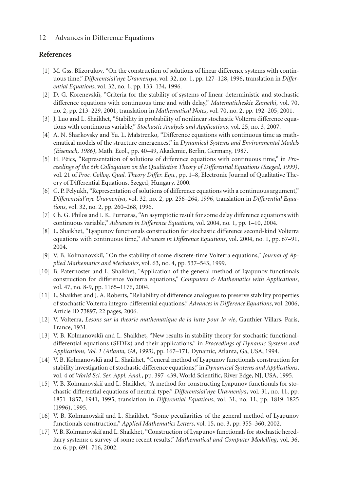# <span id="page-11-1"></span><span id="page-11-0"></span>**References**

- [1] M. Gss. Blizorukov, "On the construction of solutions of linear difference systems with continuous time," *Differentsial'nye Uravneniya*, vol. 32, no. 1, pp. 127–128, 1996, translation in *Differential Equations*, vol. 32, no. 1, pp. 133–134, 1996.
- [2] D. G. Korenevskiĭ, "Criteria for the stability of systems of linear deterministic and stochastic difference equations with continuous time and with delay," *Matematicheskie Zametki*, vol. 70, no. 2, pp. 213–229, 2001, translation in *Mathematical Notes*, vol. 70, no. 2, pp. 192–205, 2001.
- <span id="page-11-3"></span>[3] J. Luo and L. Shaikhet, "Stability in probability of nonlinear stochastic Volterra difference equations with continuous variable," *Stochastic Analysis and Applications*, vol. 25, no. 3, 2007.
- [4] A. N. Sharkovsky and Yu. L. Maĭstrenko, "Difference equations with continuous time as mathematical models of the structure emergences," in *Dynamical Systems and Environmental Models (Eisenach, 1986)*, Math. Ecol., pp. 40–49, Akademie, Berlin, Germany, 1987.
- [5] H. Péics, "Representation of solutions of difference equations with continuous time," in *Proceedings of the 6th Colloquium on the Qualitative Theory of Differential Equations (Szeged, 1999)*, vol. 21 of *Proc. Colloq. Qual. Theory Differ. Equ.*, pp. 1–8, Electronic Journal of Qualitative Theory of Differential Equations, Szeged, Hungary, 2000.
- [6] G. P. Pelyukh, "Representation of solutions of difference equations with a continuous argument," *Differentsial'nye Uravneniya*, vol. 32, no. 2, pp. 256–264, 1996, translation in *Differential Equations*, vol. 32, no. 2, pp. 260–268, 1996.
- [7] Ch. G. Philos and I. K. Purnaras, "An asymptotic result for some delay difference equations with continuous variable," *Advances in Difference Equations*, vol. 2004, no. 1, pp. 1–10, 2004.
- <span id="page-11-2"></span>[8] L. Shaikhet, "Lyapunov functionals construction for stochastic difference second-kind Volterra equations with continuous time," *Advances in Difference Equations*, vol. 2004, no. 1, pp. 67–91, 2004.
- [9] V. B. Kolmanovskiı̆, "On the stability of some discrete-time Volterra equations," *Journal of Applied Mathematics and Mechanics*, vol. 63, no. 4, pp. 537–543, 1999.
- <span id="page-11-5"></span>[10] B. Paternoster and L. Shaikhet, "Application of the general method of Lyapunov functionals construction for difference Volterra equations," *Computers & Mathematics with Applications*, vol. 47, no. 8-9, pp. 1165–1176, 2004.
- [11] L. Shaikhet and J. A. Roberts, "Reliability of difference analogues to preserve stability properties of stochastic Volterra integro-differential equations," *Advances in Difference Equations*, vol. 2006, Article ID 73897, 22 pages, 2006.
- <span id="page-11-4"></span>[12] V. Volterra, *Lesons sur la theorie mathematique de la lutte pour la vie*, Gauthier-Villars, Paris, France, 1931.
- <span id="page-11-6"></span>[13] V. B. Kolmanovskiĭ and L. Shaikhet, "New results in stability theory for stochastic functionaldifferential equations (SFDEs) and their applications," in *Proceedings of Dynamic Systems and Applications, Vol. 1 (Atlanta, GA, 1993)*, pp. 167–171, Dynamic, Atlanta, Ga, USA, 1994.
- [14] V. B. Kolmanovskiĭ and L. Shaikhet, "General method of Lyapunov functionals construction for stability investigation of stochastic difference equations," in *Dynamical Systems and Applications*, vol. 4 of *World Sci. Ser. Appl. Anal.*, pp. 397–439, World Scientific, River Edge, NJ, USA, 1995.
- [15] V. B. Kolmanovskiĭ and L. Shaikhet, "A method for constructing Lyapunov functionals for stochastic differential equations of neutral type," *Differentsial'nye Uravneniya*, vol. 31, no. 11, pp. 1851–1857, 1941, 1995, translation in *Differential Equations*, vol. 31, no. 11, pp. 1819–1825 (1996), 1995.
- [16] V. B. Kolmanovskiĭ and L. Shaikhet, "Some peculiarities of the general method of Lyapunov functionals construction," *Applied Mathematics Letters*, vol. 15, no. 3, pp. 355–360, 2002.
- [17] V. B. Kolmanovskiı̆ and L. Shaikhet, "Construction of Lyapunov functionals for stochastic hereditary systems: a survey of some recent results," *Mathematical and Computer Modelling*, vol. 36, no. 6, pp. 691–716, 2002.